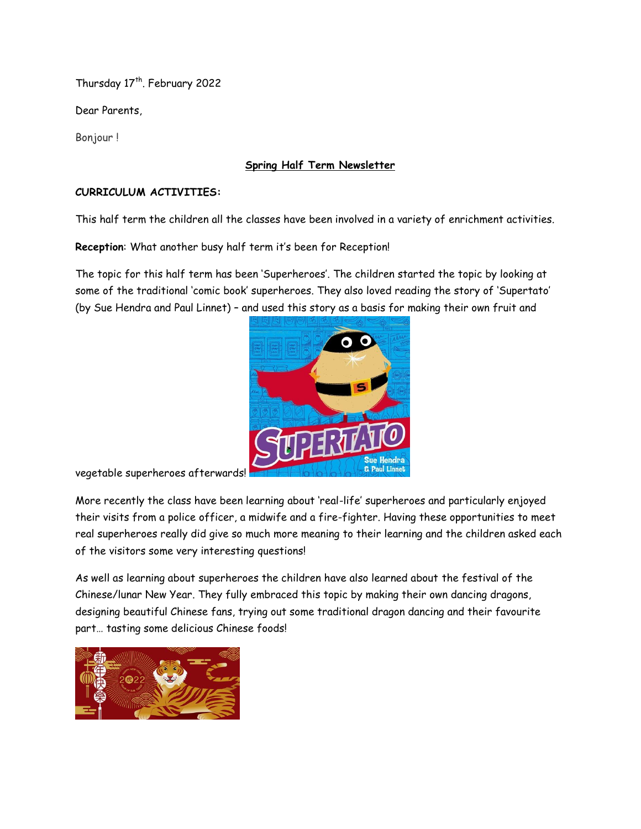Thursday 17<sup>th</sup>. February 2022

Dear Parents,

Bonjour !

#### **Spring Half Term Newsletter**

#### **CURRICULUM ACTIVITIES:**

This half term the children all the classes have been involved in a variety of enrichment activities.

**Reception**: What another busy half term it's been for Reception!

The topic for this half term has been 'Superheroes'. The children started the topic by looking at some of the traditional 'comic book' superheroes. They also loved reading the story of 'Supertato' (by Sue Hendra and Paul Linnet) – and used this story as a basis for making their own fruit and



vegetable superheroes afterwards!

More recently the class have been learning about 'real-life' superheroes and particularly enjoyed their visits from a police officer, a midwife and a fire-fighter. Having these opportunities to meet real superheroes really did give so much more meaning to their learning and the children asked each of the visitors some very interesting questions!

As well as learning about superheroes the children have also learned about the festival of the Chinese/lunar New Year. They fully embraced this topic by making their own dancing dragons, designing beautiful Chinese fans, trying out some traditional dragon dancing and their favourite part… tasting some delicious Chinese foods!

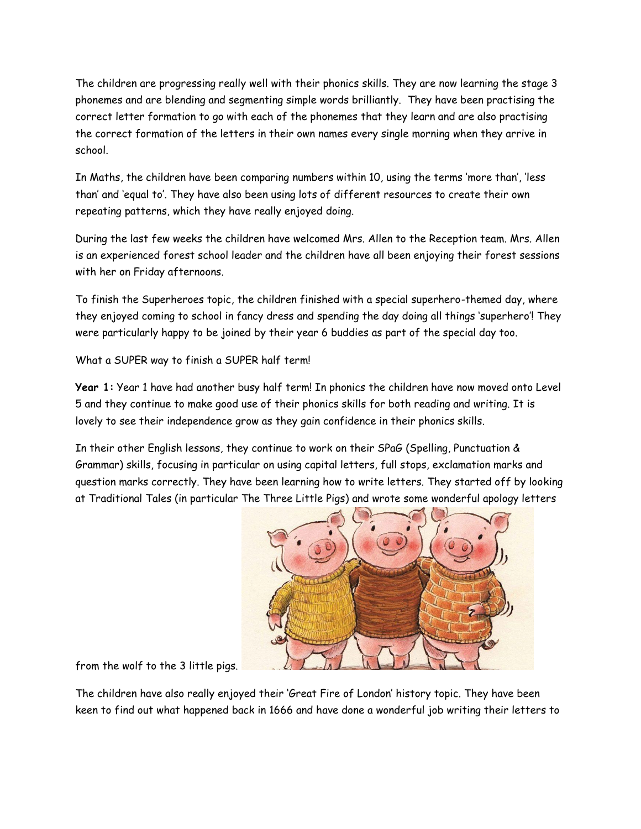The children are progressing really well with their phonics skills. They are now learning the stage 3 phonemes and are blending and segmenting simple words brilliantly. They have been practising the correct letter formation to go with each of the phonemes that they learn and are also practising the correct formation of the letters in their own names every single morning when they arrive in school.

In Maths, the children have been comparing numbers within 10, using the terms 'more than', 'less than' and 'equal to'. They have also been using lots of different resources to create their own repeating patterns, which they have really enjoyed doing.

During the last few weeks the children have welcomed Mrs. Allen to the Reception team. Mrs. Allen is an experienced forest school leader and the children have all been enjoying their forest sessions with her on Friday afternoons.

To finish the Superheroes topic, the children finished with a special superhero-themed day, where they enjoyed coming to school in fancy dress and spending the day doing all things 'superhero'! They were particularly happy to be joined by their year 6 buddies as part of the special day too.

What a SUPER way to finish a SUPER half term!

**Year 1:** Year 1 have had another busy half term! In phonics the children have now moved onto Level 5 and they continue to make good use of their phonics skills for both reading and writing. It is lovely to see their independence grow as they gain confidence in their phonics skills.

In their other English lessons, they continue to work on their SPaG (Spelling, Punctuation & Grammar) skills, focusing in particular on using capital letters, full stops, exclamation marks and question marks correctly. They have been learning how to write letters. They started off by looking at Traditional Tales (in particular The Three Little Pigs) and wrote some wonderful apology letters



from the wolf to the 3 little pigs.

The children have also really enjoyed their 'Great Fire of London' history topic. They have been keen to find out what happened back in 1666 and have done a wonderful job writing their letters to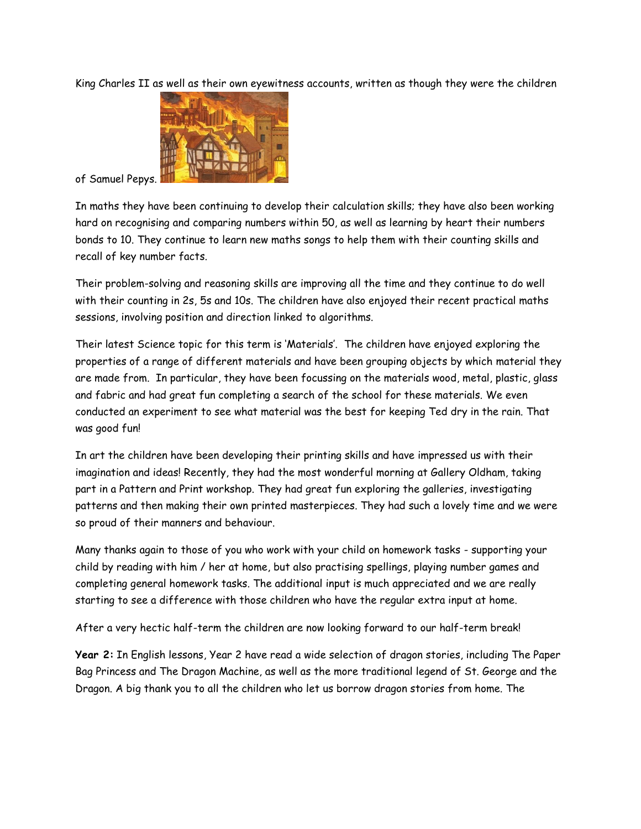King Charles II as well as their own eyewitness accounts, written as though they were the children



of Samuel Pepys.

In maths they have been continuing to develop their calculation skills; they have also been working hard on recognising and comparing numbers within 50, as well as learning by heart their numbers bonds to 10. They continue to learn new maths songs to help them with their counting skills and recall of key number facts.

Their problem-solving and reasoning skills are improving all the time and they continue to do well with their counting in 2s, 5s and 10s. The children have also enjoyed their recent practical maths sessions, involving position and direction linked to algorithms.

Their latest Science topic for this term is 'Materials'. The children have enjoyed exploring the properties of a range of different materials and have been grouping objects by which material they are made from. In particular, they have been focussing on the materials wood, metal, plastic, glass and fabric and had great fun completing a search of the school for these materials. We even conducted an experiment to see what material was the best for keeping Ted dry in the rain. That was good fun!

In art the children have been developing their printing skills and have impressed us with their imagination and ideas! Recently, they had the most wonderful morning at Gallery Oldham, taking part in a Pattern and Print workshop. They had great fun exploring the galleries, investigating patterns and then making their own printed masterpieces. They had such a lovely time and we were so proud of their manners and behaviour.

Many thanks again to those of you who work with your child on homework tasks - supporting your child by reading with him / her at home, but also practising spellings, playing number games and completing general homework tasks. The additional input is much appreciated and we are really starting to see a difference with those children who have the regular extra input at home.

After a very hectic half-term the children are now looking forward to our half-term break!

**Year 2:** In English lessons, Year 2 have read a wide selection of dragon stories, including The Paper Bag Princess and The Dragon Machine, as well as the more traditional legend of St. George and the Dragon. A big thank you to all the children who let us borrow dragon stories from home. The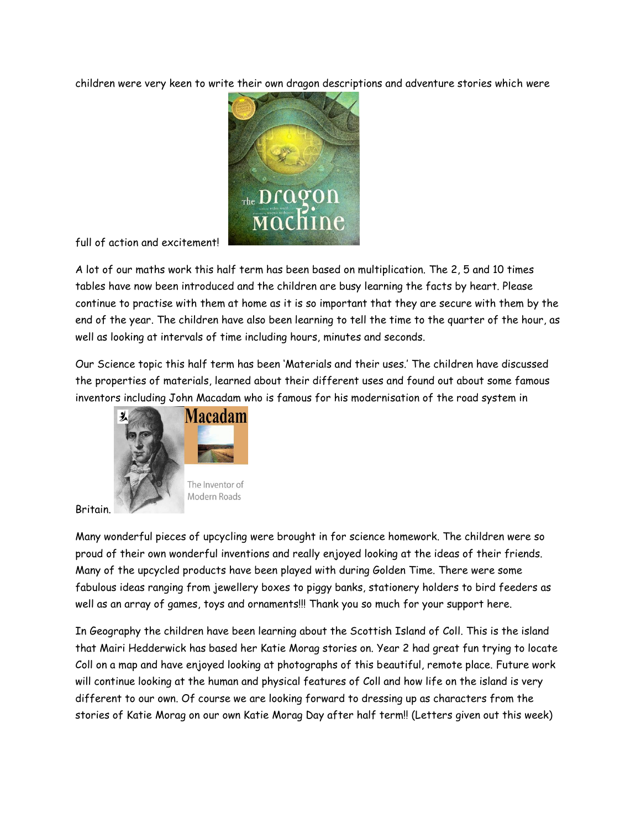children were very keen to write their own dragon descriptions and adventure stories which were



full of action and excitement!

A lot of our maths work this half term has been based on multiplication. The 2, 5 and 10 times tables have now been introduced and the children are busy learning the facts by heart. Please continue to practise with them at home as it is so important that they are secure with them by the end of the year. The children have also been learning to tell the time to the quarter of the hour, as well as looking at intervals of time including hours, minutes and seconds.

Our Science topic this half term has been 'Materials and their uses.' The children have discussed the properties of materials, learned about their different uses and found out about some famous inventors including John Macadam who is famous for his modernisation of the road system in



Britain.

Many wonderful pieces of upcycling were brought in for science homework. The children were so proud of their own wonderful inventions and really enjoyed looking at the ideas of their friends. Many of the upcycled products have been played with during Golden Time. There were some fabulous ideas ranging from jewellery boxes to piggy banks, stationery holders to bird feeders as well as an array of games, toys and ornaments!!! Thank you so much for your support here.

In Geography the children have been learning about the Scottish Island of Coll. This is the island that Mairi Hedderwick has based her Katie Morag stories on. Year 2 had great fun trying to locate Coll on a map and have enjoyed looking at photographs of this beautiful, remote place. Future work will continue looking at the human and physical features of Coll and how life on the island is very different to our own. Of course we are looking forward to dressing up as characters from the stories of Katie Morag on our own Katie Morag Day after half term!! (Letters given out this week)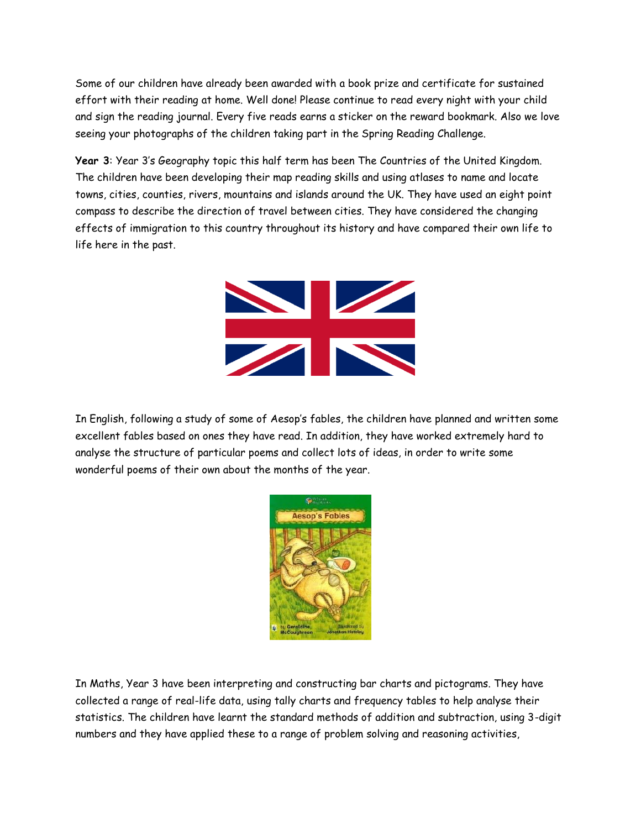Some of our children have already been awarded with a book prize and certificate for sustained effort with their reading at home. Well done! Please continue to read every night with your child and sign the reading journal. Every five reads earns a sticker on the reward bookmark. Also we love seeing your photographs of the children taking part in the Spring Reading Challenge.

**Year 3**: Year 3's Geography topic this half term has been The Countries of the United Kingdom. The children have been developing their map reading skills and using atlases to name and locate towns, cities, counties, rivers, mountains and islands around the UK. They have used an eight point compass to describe the direction of travel between cities. They have considered the changing effects of immigration to this country throughout its history and have compared their own life to life here in the past.



In English, following a study of some of Aesop's fables, the children have planned and written some excellent fables based on ones they have read. In addition, they have worked extremely hard to analyse the structure of particular poems and collect lots of ideas, in order to write some wonderful poems of their own about the months of the year.



In Maths, Year 3 have been interpreting and constructing bar charts and pictograms. They have collected a range of real-life data, using tally charts and frequency tables to help analyse their statistics. The children have learnt the standard methods of addition and subtraction, using 3-digit numbers and they have applied these to a range of problem solving and reasoning activities,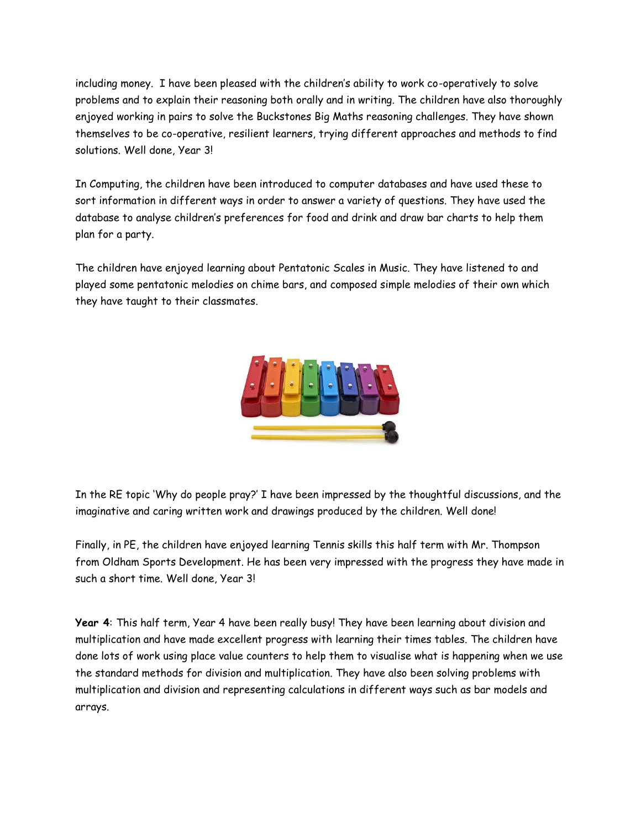including money. I have been pleased with the children's ability to work co-operatively to solve problems and to explain their reasoning both orally and in writing. The children have also thoroughly enjoyed working in pairs to solve the Buckstones Big Maths reasoning challenges. They have shown themselves to be co-operative, resilient learners, trying different approaches and methods to find solutions. Well done, Year 3!

In Computing, the children have been introduced to computer databases and have used these to sort information in different ways in order to answer a variety of questions. They have used the database to analyse children's preferences for food and drink and draw bar charts to help them plan for a party.

The children have enjoyed learning about Pentatonic Scales in Music. They have listened to and played some pentatonic melodies on chime bars, and composed simple melodies of their own which they have taught to their classmates.



In the RE topic 'Why do people pray?' I have been impressed by the thoughtful discussions, and the imaginative and caring written work and drawings produced by the children. Well done!

Finally, in PE, the children have enjoyed learning Tennis skills this half term with Mr. Thompson from Oldham Sports Development. He has been very impressed with the progress they have made in such a short time. Well done, Year 3!

**Year 4**: This half term, Year 4 have been really busy! They have been learning about division and multiplication and have made excellent progress with learning their times tables. The children have done lots of work using place value counters to help them to visualise what is happening when we use the standard methods for division and multiplication. They have also been solving problems with multiplication and division and representing calculations in different ways such as bar models and arrays.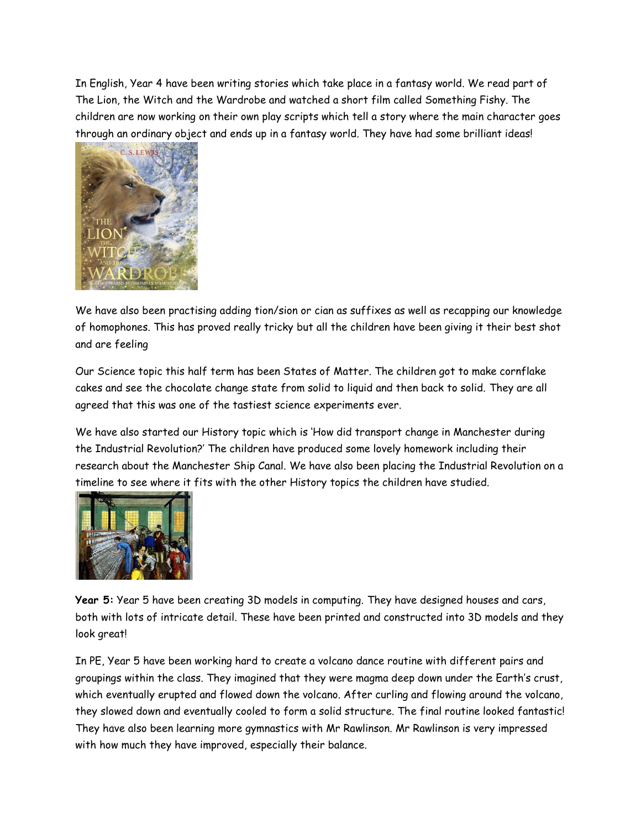In English, Year 4 have been writing stories which take place in a fantasy world. We read part of The Lion, the Witch and the Wardrobe and watched a short film called Something Fishy. The children are now working on their own play scripts which tell a story where the main character goes through an ordinary object and ends up in a fantasy world. They have had some brilliant ideas!



We have also been practising adding tion/sion or cian as suffixes as well as recapping our knowledge of homophones. This has proved really tricky but all the children have been giving it their best shot and are feeling

Our Science topic this half term has been States of Matter. The children got to make cornflake cakes and see the chocolate change state from solid to liquid and then back to solid. They are all agreed that this was one of the tastiest science experiments ever.

We have also started our History topic which is 'How did transport change in Manchester during the Industrial Revolution?' The children have produced some lovely homework including their research about the Manchester Ship Canal. We have also been placing the Industrial Revolution on a timeline to see where it fits with the other History topics the children have studied.



**Year 5:** Year 5 have been creating 3D models in computing. They have designed houses and cars, both with lots of intricate detail. These have been printed and constructed into 3D models and they look great!

In PE, Year 5 have been working hard to create a volcano dance routine with different pairs and groupings within the class. They imagined that they were magma deep down under the Earth's crust, which eventually erupted and flowed down the volcano. After curling and flowing around the volcano, they slowed down and eventually cooled to form a solid structure. The final routine looked fantastic! They have also been learning more gymnastics with Mr Rawlinson. Mr Rawlinson is very impressed with how much they have improved, especially their balance.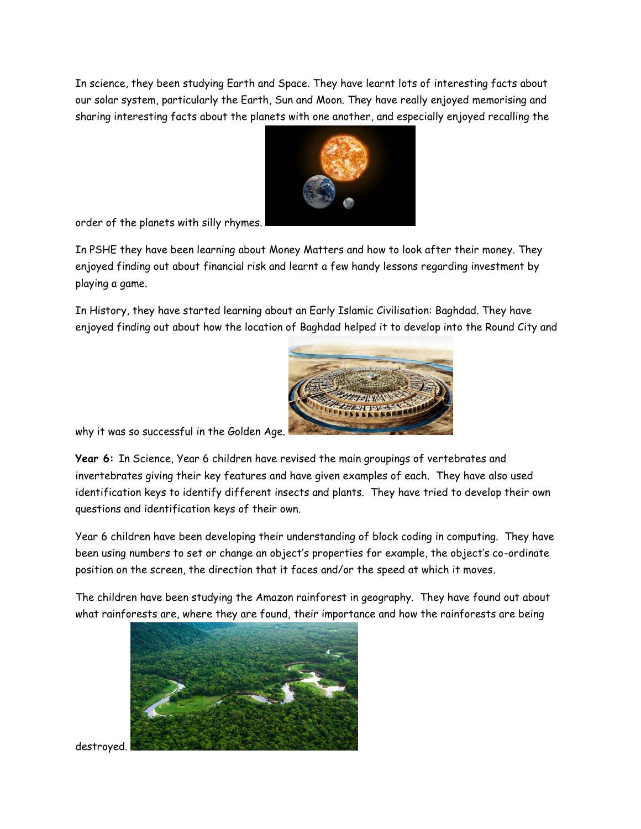In science, they been studying Earth and Space. They have learnt lots of interesting facts about our solar system, particularly the Earth, Sun and Moon. They have really enjoyed memorising and sharing interesting facts about the planets with one another, and especially enjoyed recalling the



order of the planets with silly rhymes.

In PSHE they have been learning about Money Matters and how to look after their money. They enjoyed finding out about financial risk and learnt a few handy lessons regarding investment by playing a game.

In History, they have started learning about an Early Islamic Civilisation: Baghdad. They have enjoyed finding out about how the location of Baghdad helped it to develop into the Round City and



why it was so successful in the Golden Age.

**Year 6:** In Science, Year 6 children have revised the main groupings of vertebrates and invertebrates giving their key features and have given examples of each. They have also used identification keys to identify different insects and plants. They have tried to develop their own questions and identification keys of their own.

Year 6 children have been developing their understanding of block coding in computing. They have been using numbers to set or change an object's properties for example, the object's co-ordinate position on the screen, the direction that it faces and/or the speed at which it moves.

The children have been studying the Amazon rainforest in geography. They have found out about what rainforests are, where they are found, their importance and how the rainforests are being



destroyed.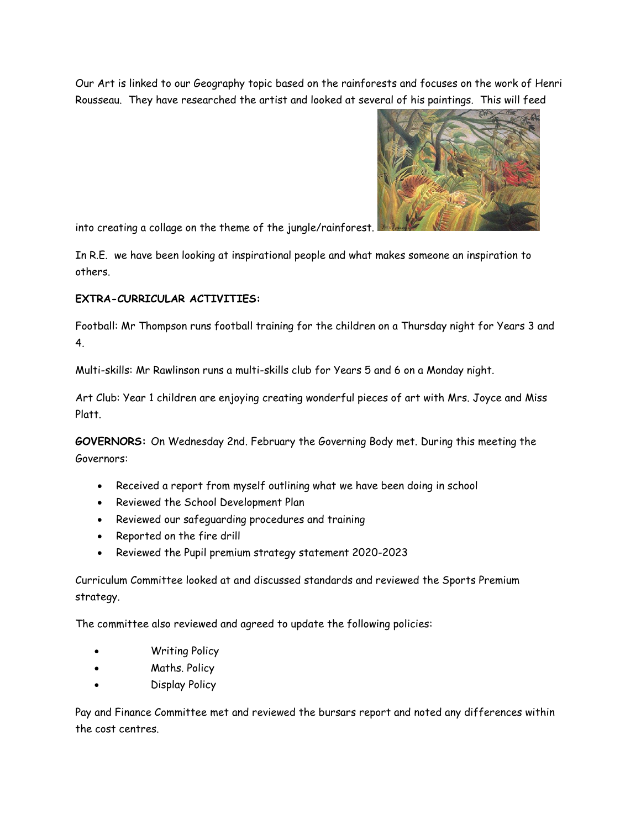Our Art is linked to our Geography topic based on the rainforests and focuses on the work of Henri Rousseau. They have researched the artist and looked at several of his paintings. This will feed



into creating a collage on the theme of the jungle/rainforest.

In R.E. we have been looking at inspirational people and what makes someone an inspiration to others.

## **EXTRA-CURRICULAR ACTIVITIES:**

Football: Mr Thompson runs football training for the children on a Thursday night for Years 3 and 4.

Multi-skills: Mr Rawlinson runs a multi-skills club for Years 5 and 6 on a Monday night.

Art Club: Year 1 children are enjoying creating wonderful pieces of art with Mrs. Joyce and Miss Platt.

**GOVERNORS:** On Wednesday 2nd. February the Governing Body met. During this meeting the Governors:

- Received a report from myself outlining what we have been doing in school
- Reviewed the School Development Plan
- Reviewed our safeguarding procedures and training
- Reported on the fire drill
- Reviewed the Pupil premium strategy statement 2020-2023

Curriculum Committee looked at and discussed standards and reviewed the Sports Premium strategy.

The committee also reviewed and agreed to update the following policies:

- Writing Policy
- Maths. Policy
- Display Policy

Pay and Finance Committee met and reviewed the bursars report and noted any differences within the cost centres.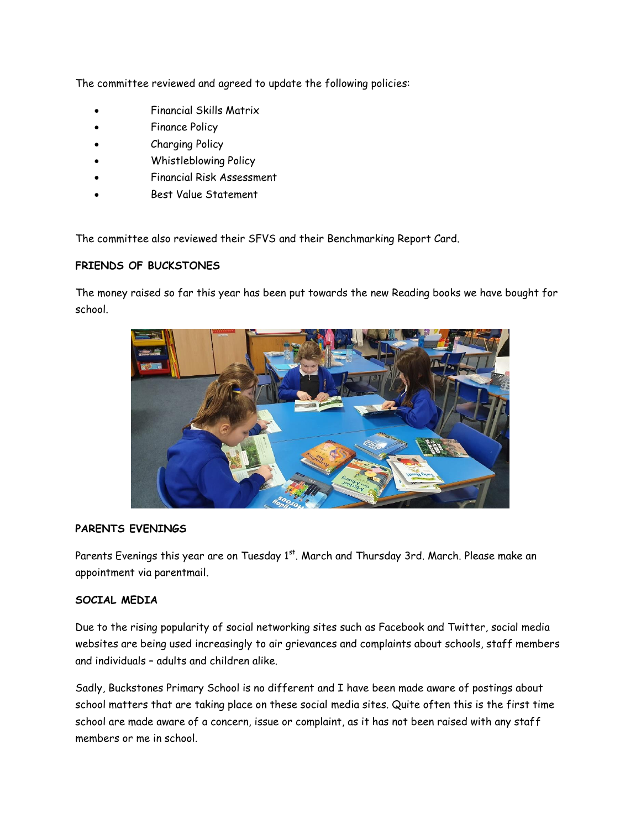The committee reviewed and agreed to update the following policies:

- Financial Skills Matrix
- Finance Policy
- Charging Policy
- Whistleblowing Policy
- Financial Risk Assessment
- Best Value Statement

The committee also reviewed their SFVS and their Benchmarking Report Card.

## **FRIENDS OF BUCKSTONES**

The money raised so far this year has been put towards the new Reading books we have bought for school.



## **PARENTS EVENINGS**

Parents Evenings this year are on Tuesday 1<sup>st</sup>. March and Thursday 3rd. March. Please make an appointment via parentmail.

#### **SOCIAL MEDIA**

Due to the rising popularity of social networking sites such as Facebook and Twitter, social media websites are being used increasingly to air grievances and complaints about schools, staff members and individuals – adults and children alike.

Sadly, Buckstones Primary School is no different and I have been made aware of postings about school matters that are taking place on these social media sites. Quite often this is the first time school are made aware of a concern, issue or complaint, as it has not been raised with any staff members or me in school.